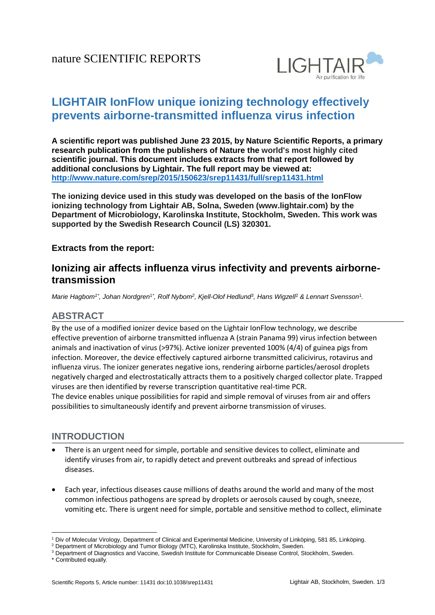

# **LIGHTAIR IonFlow unique ionizing technology effectively prevents airborne-transmitted influenza virus infection**

**A scientific report was published June 23 2015, by Nature Scientific Reports, a primary research publication from the publishers of Nature the world's most highly cited scientific journal. This document includes extracts from that report followed by additional conclusions by Lightair. The full report may be viewed at: <http://www.nature.com/srep/2015/150623/srep11431/full/srep11431.html>**

**The ionizing device used in this study was developed on the basis of the IonFlow ionizing technology from Lightair AB, Solna, Sweden (www.lightair.com) by the Department of Microbiology, Karolinska Institute, Stockholm, Sweden. This work was supported by the Swedish Research Council (LS) 320301.**

#### **Extracts from the report:**

# **Ionizing air affects influenza virus infectivity and prevents airbornetransmission**

<span id="page-0-1"></span><span id="page-0-0"></span> $M$ arie Hagbom<sup>[1](#page-0-0)\*</sup>, Johan Nordgren<sup>1\*</sup>, Rolf Nybom<sup>2</sup>, Kje[ll](#page-0-1)-Olof Hedlu[n](#page-0-0)d<sup>3</sup>, Hans Wigzell<sup>2</sup> & Lennart Svensson<sup>1</sup>.

### **ABSTRACT**

By the use of a modified ionizer device based on the Lightair IonFlow technology, we describe effective prevention of airborne transmitted influenza A (strain Panama 99) virus infection between animals and inactivation of virus (>97%). Active ionizer prevented 100% (4/4) of guinea pigs from infection. Moreover, the device effectively captured airborne transmitted calicivirus, rotavirus and influenza virus. The ionizer generates negative ions, rendering airborne particles/aerosol droplets negatively charged and electrostatically attracts them to a positively charged collector plate. Trapped viruses are then identified by reverse transcription quantitative real-time PCR. The device enables unique possibilities for rapid and simple removal of viruses from air and offers possibilities to simultaneously identify and prevent airborne transmission of viruses.

#### **INTRODUCTION**

- There is an urgent need for simple, portable and sensitive devices to collect, eliminate and identify viruses from air, to rapidly detect and prevent outbreaks and spread of infectious diseases.
- Each year, infectious diseases cause millions of deaths around the world and many of the most common infectious pathogens are spread by droplets or aerosols caused by cough, sneeze, vomiting etc. There is urgent need for simple, portable and sensitive method to collect, eliminate

1

<sup>1</sup> Div of Molecular Virology, Department of Clinical and Experimental Medicine, University of Linköping, 581 85, Linköping.

<sup>&</sup>lt;sup>2</sup> Department of Microbiology and Tumor Biology (MTC), Karolinska Institute, Stockholm, Sweden.

<sup>&</sup>lt;sup>3</sup> Department of Diagnostics and Vaccine, Swedish Institute for Communicable Disease Control, Stockholm, Sweden.

<sup>\*</sup> Contributed equally.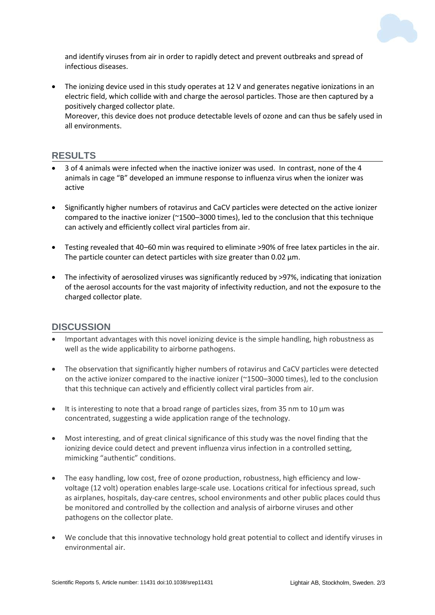

and identify viruses from air in order to rapidly detect and prevent outbreaks and spread of infectious diseases.

 The ionizing device used in this study operates at 12 V and generates negative ionizations in an electric field, which collide with and charge the aerosol particles. Those are then captured by a positively charged collector plate.

Moreover, this device does not produce detectable levels of ozone and can thus be safely used in all environments.

#### **RESULTS**

- 3 of 4 animals were infected when the inactive ionizer was used. In contrast, none of the 4 animals in cage "B" developed an immune response to influenza virus when the ionizer was active
- Significantly higher numbers of rotavirus and CaCV particles were detected on the active ionizer compared to the inactive ionizer (~1500–3000 times), led to the conclusion that this technique can actively and efficiently collect viral particles from air.
- Testing revealed that 40–60 min was required to eliminate >90% of free latex particles in the air. The particle counter can detect particles with size greater than 0.02 μm.
- The infectivity of aerosolized viruses was significantly reduced by >97%, indicating that ionization of the aerosol accounts for the vast majority of infectivity reduction, and not the exposure to the charged collector plate.

#### **DISCUSSION**

- Important advantages with this novel ionizing device is the simple handling, high robustness as well as the wide applicability to airborne pathogens.
- The observation that significantly higher numbers of rotavirus and CaCV particles were detected on the active ionizer compared to the inactive ionizer (~1500–3000 times), led to the conclusion that this technique can actively and efficiently collect viral particles from air.
- It is interesting to note that a broad range of particles sizes, from 35 nm to 10  $\mu$ m was concentrated, suggesting a wide application range of the technology.
- Most interesting, and of great clinical significance of this study was the novel finding that the ionizing device could detect and prevent influenza virus infection in a controlled setting, mimicking "authentic" conditions.
- The easy handling, low cost, free of ozone production, robustness, high efficiency and lowvoltage (12 volt) operation enables large-scale use. Locations critical for infectious spread, such as airplanes, hospitals, day-care centres, school environments and other public places could thus be monitored and controlled by the collection and analysis of airborne viruses and other pathogens on the collector plate.
- We conclude that this innovative technology hold great potential to collect and identify viruses in environmental air.